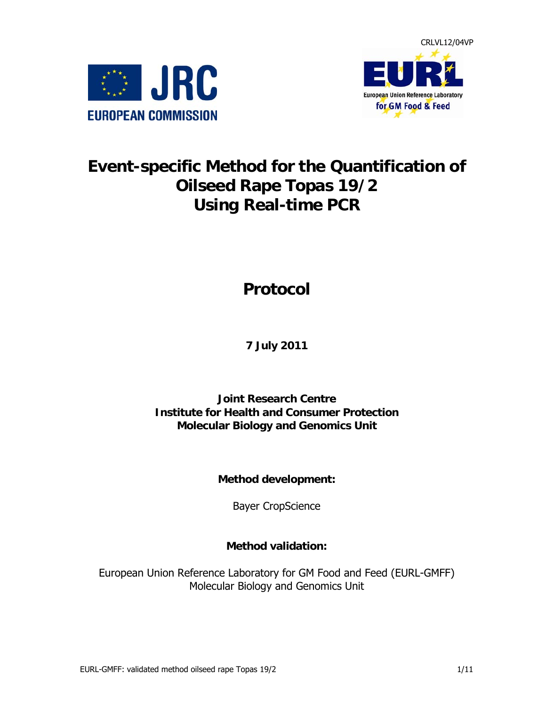



# **Event-specific Method for the Quantification of Oilseed Rape Topas 19/2 Using Real-time PCR**

# **Protocol**

# **7 July 2011**

### **Joint Research Centre Institute for Health and Consumer Protection Molecular Biology and Genomics Unit**

**Method development:** 

Bayer CropScience

### **Method validation:**

European Union Reference Laboratory for GM Food and Feed (EURL-GMFF) Molecular Biology and Genomics Unit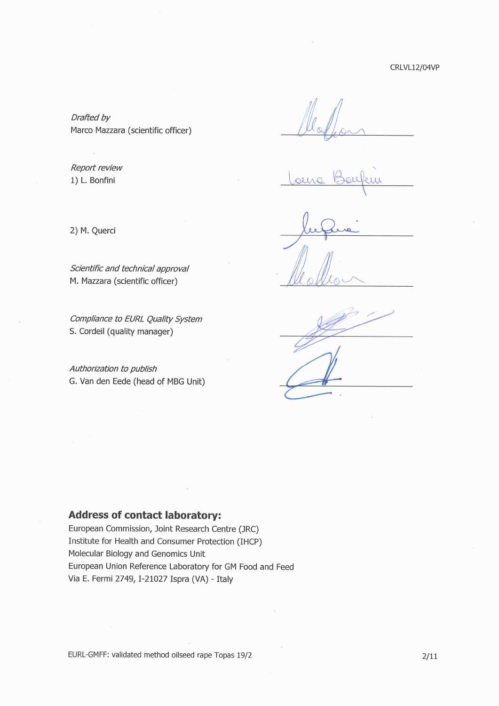CRLVL12/04VP

Drafted by Marco Mazzara (scientific officer)

Report review 1) L. Bonfini

2) M. Querci

M. Mazzara (scientific officer)

Scientific and technical approval

Compliance to EURL Quality System S. Cordeil (quality manager)

Authorization to publish G. Van den Eede (head of MBG Unit)

### **Address of contact laboratory:**

European Commission, Joint Research Centre (JRC) Institute for Health and Consumer Protection (IHCP) Molecular Biology and Genomics Unit European Union Reference Laboratory for GM Food and Feed Via E. Fermi 2749, I-21027 Ispra (VA) - Italy

EURL-GMFF: validated method oilseed rape Topas 19/2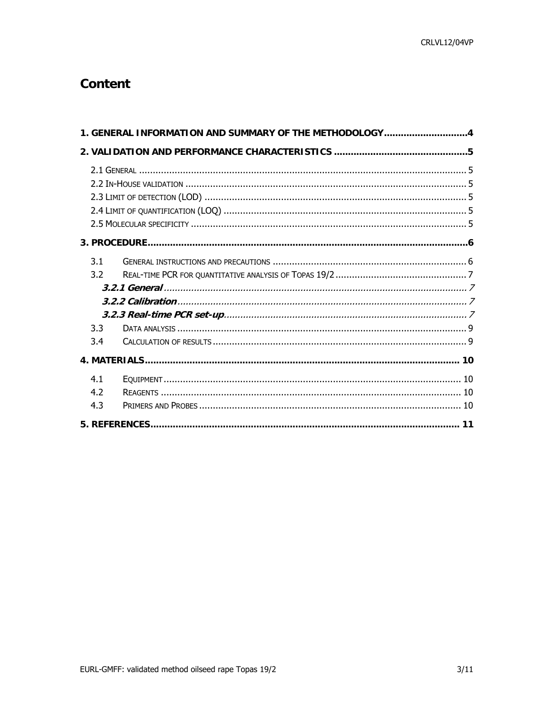# **Content**

| 1. GENERAL INFORMATION AND SUMMARY OF THE METHODOLOGY4 |  |
|--------------------------------------------------------|--|
|                                                        |  |
|                                                        |  |
|                                                        |  |
| 3.1<br>3.2<br>3.3<br>3.4                               |  |
|                                                        |  |
| 4.1<br>4.2<br>4.3                                      |  |
|                                                        |  |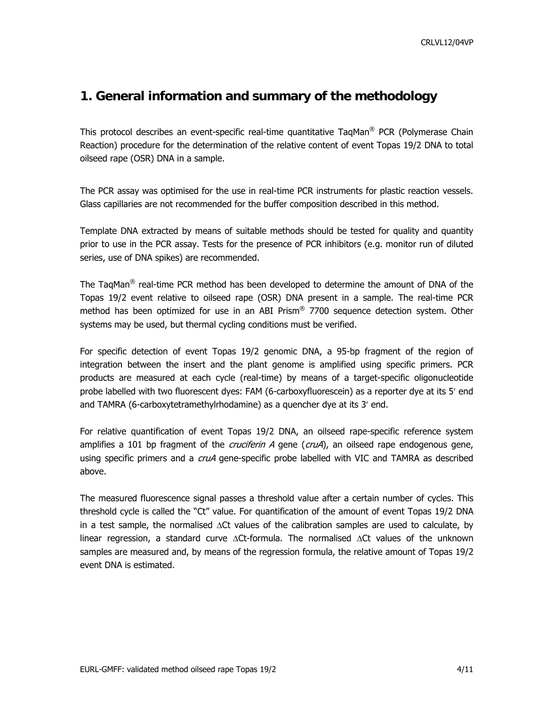### <span id="page-3-0"></span>**1. General information and summary of the methodology**

This protocol describes an event-specific real-time quantitative TaqMan<sup>®</sup> PCR (Polymerase Chain Reaction) procedure for the determination of the relative content of event Topas 19/2 DNA to total oilseed rape (OSR) DNA in a sample.

The PCR assay was optimised for the use in real-time PCR instruments for plastic reaction vessels. Glass capillaries are not recommended for the buffer composition described in this method.

Template DNA extracted by means of suitable methods should be tested for quality and quantity prior to use in the PCR assay. Tests for the presence of PCR inhibitors (e.g. monitor run of diluted series, use of DNA spikes) are recommended.

The TaqMan<sup>®</sup> real-time PCR method has been developed to determine the amount of DNA of the Topas 19/2 event relative to oilseed rape (OSR) DNA present in a sample. The real-time PCR method has been optimized for use in an ABI Prism® 7700 sequence detection system. Other systems may be used, but thermal cycling conditions must be verified.

For specific detection of event Topas 19/2 genomic DNA, a 95-bp fragment of the region of integration between the insert and the plant genome is amplified using specific primers. PCR products are measured at each cycle (real-time) by means of a target-specific oligonucleotide probe labelled with two fluorescent dyes: FAM (6-carboxyfluorescein) as a reporter dye at its 5′ end and TAMRA (6-carboxytetramethylrhodamine) as a quencher dye at its 3′ end.

For relative quantification of event Topas 19/2 DNA, an oilseed rape-specific reference system amplifies a 101 bp fragment of the *cruciferin A* gene ( $c\tau\mu A$ ), an oilseed rape endogenous gene, using specific primers and a *cruA* gene-specific probe labelled with VIC and TAMRA as described above.

The measured fluorescence signal passes a threshold value after a certain number of cycles. This threshold cycle is called the "Ct" value. For quantification of the amount of event Topas 19/2 DNA in a test sample, the normalised ΔCt values of the calibration samples are used to calculate, by linear regression, a standard curve ΔCt-formula. The normalised ΔCt values of the unknown samples are measured and, by means of the regression formula, the relative amount of Topas 19/2 event DNA is estimated.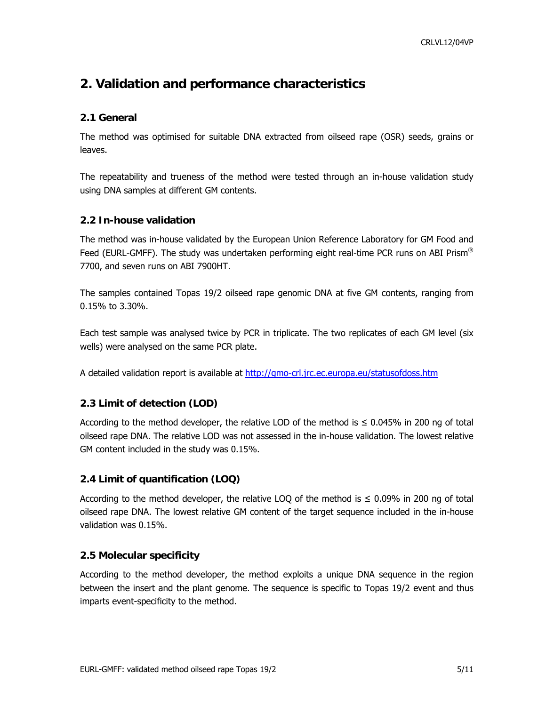# <span id="page-4-0"></span>**2. Validation and performance characteristics**

### **2.1 General**

The method was optimised for suitable DNA extracted from oilseed rape (OSR) seeds, grains or leaves.

The repeatability and trueness of the method were tested through an in-house validation study using DNA samples at different GM contents.

### **2.2 In-house validation**

The method was in-house validated by the European Union Reference Laboratory for GM Food and Feed (EURL-GMFF). The study was undertaken performing eight real-time PCR runs on ABI Prism® 7700, and seven runs on ABI 7900HT.

The samples contained Topas 19/2 oilseed rape genomic DNA at five GM contents, ranging from 0.15% to 3.30%.

Each test sample was analysed twice by PCR in triplicate. The two replicates of each GM level (six wells) were analysed on the same PCR plate.

A detailed validation report is available at<http://gmo-crl.jrc.ec.europa.eu/statusofdoss.htm>

### **2.3 Limit of detection (LOD)**

According to the method developer, the relative LOD of the method is  $\leq 0.045\%$  in 200 ng of total oilseed rape DNA. The relative LOD was not assessed in the in-house validation. The lowest relative GM content included in the study was 0.15%.

### **2.4 Limit of quantification (LOQ)**

According to the method developer, the relative LOQ of the method is  $\leq 0.09\%$  in 200 ng of total oilseed rape DNA. The lowest relative GM content of the target sequence included in the in-house validation was 0.15%.

### **2.5 Molecular specificity**

According to the method developer, the method exploits a unique DNA sequence in the region between the insert and the plant genome. The sequence is specific to Topas 19/2 event and thus imparts event-specificity to the method.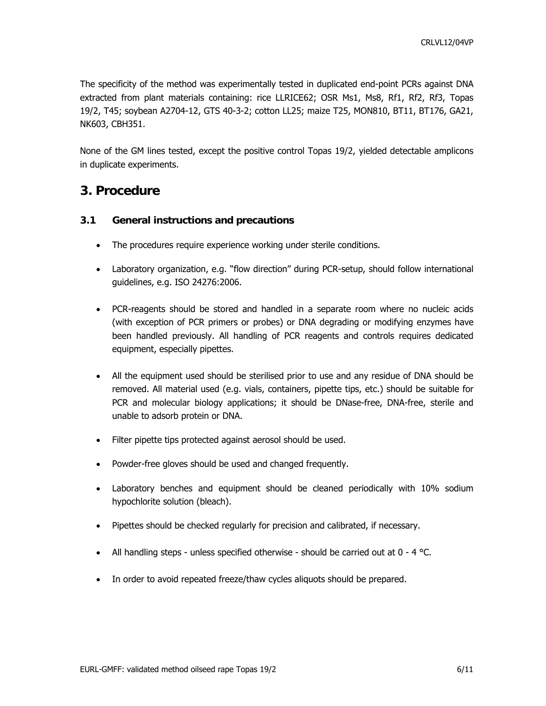<span id="page-5-0"></span>The specificity of the method was experimentally tested in duplicated end-point PCRs against DNA extracted from plant materials containing: rice LLRICE62; OSR Ms1, Ms8, Rf1, Rf2, Rf3, Topas 19/2, T45; soybean A2704-12, GTS 40-3-2; cotton LL25; maize T25, MON810, BT11, BT176, GA21, NK603, CBH351.

None of the GM lines tested, except the positive control Topas 19/2, yielded detectable amplicons in duplicate experiments.

### **3. Procedure**

### **3.1 General instructions and precautions**

- The procedures require experience working under sterile conditions.
- Laboratory organization, e.g. "flow direction" during PCR-setup, should follow international guidelines, e.g. ISO 24276:2006.
- PCR-reagents should be stored and handled in a separate room where no nucleic acids (with exception of PCR primers or probes) or DNA degrading or modifying enzymes have been handled previously. All handling of PCR reagents and controls requires dedicated equipment, especially pipettes.
- All the equipment used should be sterilised prior to use and any residue of DNA should be removed. All material used (e.g. vials, containers, pipette tips, etc.) should be suitable for PCR and molecular biology applications; it should be DNase-free, DNA-free, sterile and unable to adsorb protein or DNA.
- Filter pipette tips protected against aerosol should be used.
- Powder-free gloves should be used and changed frequently.
- Laboratory benches and equipment should be cleaned periodically with 10% sodium hypochlorite solution (bleach).
- Pipettes should be checked regularly for precision and calibrated, if necessary.
- All handling steps unless specified otherwise should be carried out at  $0 4$  °C.
- In order to avoid repeated freeze/thaw cycles aliquots should be prepared.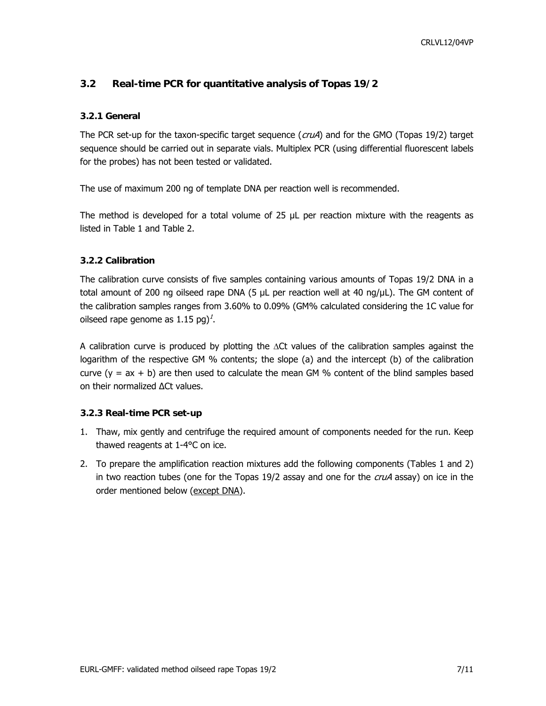### <span id="page-6-0"></span>**3.2 Real-time PCR for quantitative analysis of Topas 19/2**

#### **3.2.1 General**

The PCR set-up for the taxon-specific target sequence ( $cruA$ ) and for the GMO (Topas 19/2) target sequence should be carried out in separate vials. Multiplex PCR (using differential fluorescent labels for the probes) has not been tested or validated.

The use of maximum 200 ng of template DNA per reaction well is recommended.

The method is developed for a total volume of 25 µL per reaction mixture with the reagents as listed in Table 1 and Table 2.

#### **3.2.2 Calibration**

The calibration curve consists of five samples containing various amounts of Topas 19/2 DNA in a total amount of 200 ng oilseed rape DNA (5 μL per reaction well at 40 ng/μL). The GM content of the calibration samples ranges from 3.60% to 0.09% (GM% calculated considering the 1C value for oilseed rape genome as  $1.15$  pg)<sup>2</sup>.

A calibration curve is produced by plotting the ΔCt values of the calibration samples against the logarithm of the respective GM % contents; the slope (a) and the intercept (b) of the calibration curve  $(y = ax + b)$  are then used to calculate the mean GM % content of the blind samples based on their normalized ∆Ct values.

#### **3.2.3 Real-time PCR set-up**

- 1. Thaw, mix gently and centrifuge the required amount of components needed for the run. Keep thawed reagents at 1-4°C on ice.
- 2. To prepare the amplification reaction mixtures add the following components (Tables 1 and 2) in two reaction tubes (one for the Topas  $19/2$  assay and one for the  $cruA$  assay) on ice in the order mentioned below (except DNA).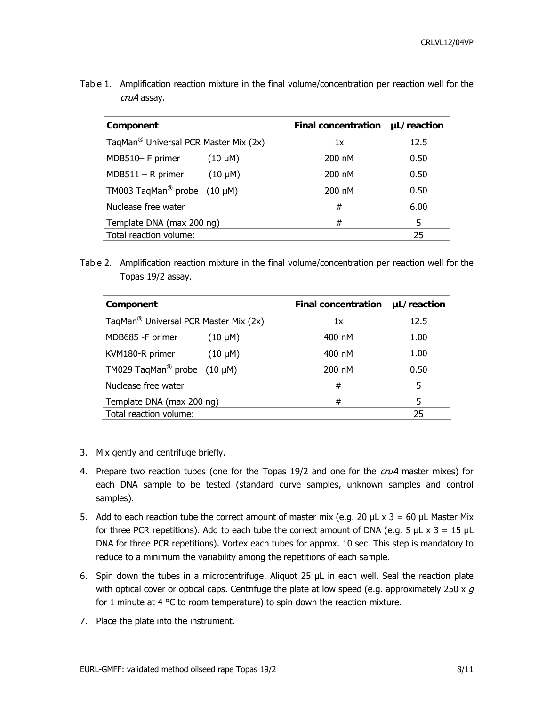| Component                                         | <b>Final concentration</b> | µL/reaction |
|---------------------------------------------------|----------------------------|-------------|
| TaqMan <sup>®</sup> Universal PCR Master Mix (2x) | 1x                         | 12.5        |
| MDB510- F primer<br>$(10 \mu M)$                  | 200 nM                     | 0.50        |
| $MDB511 - R$ primer<br>$(10 \mu M)$               | 200 nM                     | 0.50        |
| TM003 TaqMan <sup>®</sup> probe $(10 \mu M)$      | 200 nM                     | 0.50        |
| Nuclease free water                               | #                          | 6.00        |
| Template DNA (max 200 ng)                         | #                          | 5           |
| Total reaction volume:                            |                            | 25          |

Table 1. Amplification reaction mixture in the final volume/concentration per reaction well for the cruA assay.

Table 2. Amplification reaction mixture in the final volume/concentration per reaction well for the Topas 19/2 assay.

| Component                                         |              | <b>Final concentration</b> | µL/reaction |
|---------------------------------------------------|--------------|----------------------------|-------------|
| TaqMan <sup>®</sup> Universal PCR Master Mix (2x) |              | 1x                         | 12.5        |
| MDB685 -F primer                                  | $(10 \mu M)$ | 400 nM                     | 1.00        |
| KVM180-R primer                                   | $(10 \mu M)$ | 400 nM                     | 1.00        |
| TM029 TaqMan <sup>®</sup> probe (10 µM)           |              | 200 nM                     | 0.50        |
| Nuclease free water                               |              | #                          | 5           |
| Template DNA (max 200 ng)                         |              | #                          | 5           |
| Total reaction volume:                            |              |                            | 25          |

- 3. Mix gently and centrifuge briefly.
- 4. Prepare two reaction tubes (one for the Topas 19/2 and one for the *cruA* master mixes) for each DNA sample to be tested (standard curve samples, unknown samples and control samples).
- 5. Add to each reaction tube the correct amount of master mix (e.g. 20  $\mu$ L x 3 = 60  $\mu$ L Master Mix for three PCR repetitions). Add to each tube the correct amount of DNA (e.g. 5  $\mu$ L x 3 = 15  $\mu$ L DNA for three PCR repetitions). Vortex each tubes for approx. 10 sec. This step is mandatory to reduce to a minimum the variability among the repetitions of each sample.
- 6. Spin down the tubes in a microcentrifuge. Aliquot 25 µL in each well. Seal the reaction plate with optical cover or optical caps. Centrifuge the plate at low speed (e.g. approximately 250 x  $q$ for 1 minute at 4 °C to room temperature) to spin down the reaction mixture.
- 7. Place the plate into the instrument.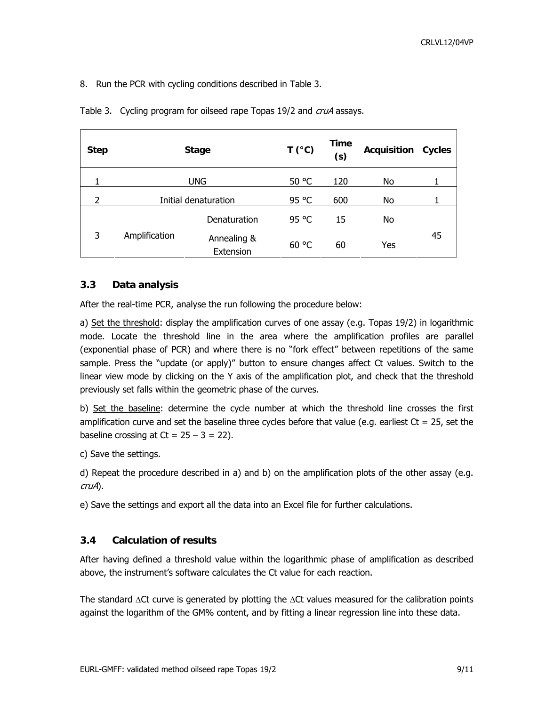<span id="page-8-0"></span>8. Run the PCR with cycling conditions described in Table 3.

| <b>Step</b> |               | <b>Stage</b>             | $T(^{\circ}C)$ | <b>Time</b><br>(s) | <b>Acquisition</b> | Cycles |
|-------------|---------------|--------------------------|----------------|--------------------|--------------------|--------|
|             | <b>UNG</b>    |                          | 50 °C          | 120                | No                 |        |
| 2           |               | Initial denaturation     | 95 °C          | 600                | No                 |        |
|             |               | Denaturation             | 95 °C          | 15                 | No                 |        |
| 3           | Amplification | Annealing &<br>Extension | 60 °C          | 60                 | Yes                | 45     |

Table 3. Cycling program for oilseed rape Topas 19/2 and *cruA* assays.

### **3.3 Data analysis**

After the real-time PCR, analyse the run following the procedure below:

a) Set the threshold: display the amplification curves of one assay (e.g. Topas 19/2) in logarithmic mode. Locate the threshold line in the area where the amplification profiles are parallel (exponential phase of PCR) and where there is no "fork effect" between repetitions of the same sample. Press the "update (or apply)" button to ensure changes affect Ct values. Switch to the linear view mode by clicking on the Y axis of the amplification plot, and check that the threshold previously set falls within the geometric phase of the curves.

b) Set the baseline: determine the cycle number at which the threshold line crosses the first amplification curve and set the baseline three cycles before that value (e.g. earliest  $Ct = 25$ , set the baseline crossing at  $Ct = 25 - 3 = 22$ ).

c) Save the settings.

d) Repeat the procedure described in a) and b) on the amplification plots of the other assay (e.g. cruA).

e) Save the settings and export all the data into an Excel file for further calculations.

### **3.4 Calculation of results**

After having defined a threshold value within the logarithmic phase of amplification as described above, the instrument's software calculates the Ct value for each reaction.

The standard  $\Delta$ Ct curve is generated by plotting the  $\Delta$ Ct values measured for the calibration points against the logarithm of the GM% content, and by fitting a linear regression line into these data.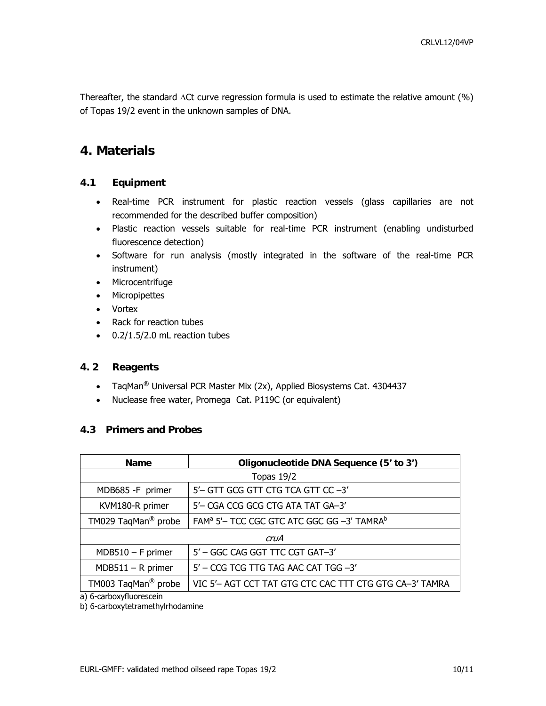<span id="page-9-0"></span>Thereafter, the standard ΔCt curve regression formula is used to estimate the relative amount (%) of Topas 19/2 event in the unknown samples of DNA.

### **4. Materials**

### **4.1 Equipment**

- Real-time PCR instrument for plastic reaction vessels (glass capillaries are not recommended for the described buffer composition)
- Plastic reaction vessels suitable for real-time PCR instrument (enabling undisturbed fluorescence detection)
- Software for run analysis (mostly integrated in the software of the real-time PCR instrument)
- Microcentrifuge
- Micropipettes
- Vortex
- Rack for reaction tubes
- 0.2/1.5/2.0 mL reaction tubes

### **4. 2 Reagents**

- TaqMan<sup>®</sup> Universal PCR Master Mix (2x), Applied Biosystems Cat. 4304437
- Nuclease free water, Promega Cat. P119C (or equivalent)

#### **4.3 Primers and Probes**

| <b>Name</b>                     | Oligonucleotide DNA Sequence (5' to 3')                            |  |  |
|---------------------------------|--------------------------------------------------------------------|--|--|
| Topas $19/2$                    |                                                                    |  |  |
| MDB685 -F primer                | 5'- GTT GCG GTT CTG TCA GTT CC-3'                                  |  |  |
| KVM180-R primer                 | 5'- CGA CCG GCG CTG ATA TAT GA-3'                                  |  |  |
| TM029 TaqMan <sup>®</sup> probe | FAM <sup>a</sup> 5'- TCC CGC GTC ATC GGC GG -3' TAMRA <sup>b</sup> |  |  |
| cruA                            |                                                                    |  |  |
| $MDB510 - F$ primer             | 5' - GGC CAG GGT TTC CGT GAT-3'                                    |  |  |
| $MDB511 - R$ primer             | 5' - CCG TCG TTG TAG AAC CAT TGG -3'                               |  |  |
| TM003 TaqMan <sup>®</sup> probe | VIC 5'- AGT CCT TAT GTG CTC CAC TTT CTG GTG CA-3' TAMRA            |  |  |

a) 6-carboxyfluorescein

b) 6-carboxytetramethylrhodamine